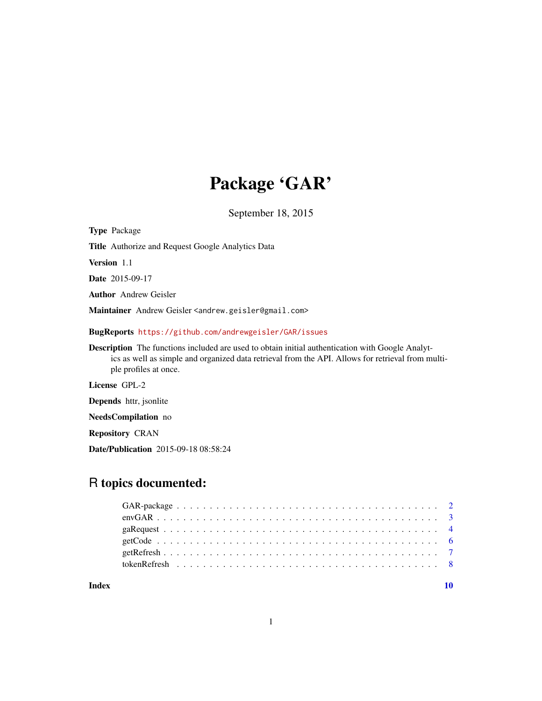## Package 'GAR'

September 18, 2015

Type Package Title Authorize and Request Google Analytics Data Version 1.1 Date 2015-09-17 Author Andrew Geisler Maintainer Andrew Geisler <andrew.geisler@gmail.com> BugReports <https://github.com/andrewgeisler/GAR/issues> Description The functions included are used to obtain initial authentication with Google Analytics as well as simple and organized data retrieval from the API. Allows for retrieval from multiple profiles at once. License GPL-2 Depends httr, jsonlite NeedsCompilation no

Repository CRAN

Date/Publication 2015-09-18 08:58:24

## R topics documented:

#### $\blacksquare$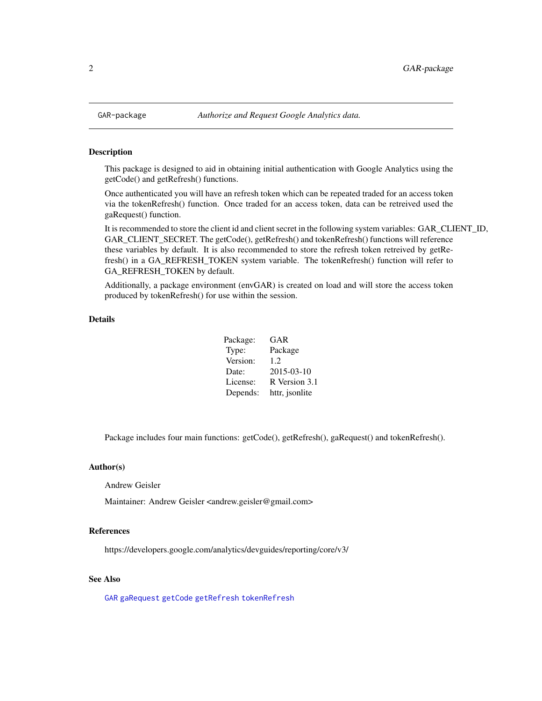<span id="page-1-0"></span>

#### <span id="page-1-1"></span>Description

This package is designed to aid in obtaining initial authentication with Google Analytics using the getCode() and getRefresh() functions.

Once authenticated you will have an refresh token which can be repeated traded for an access token via the tokenRefresh() function. Once traded for an access token, data can be retreived used the gaRequest() function.

It is recommended to store the client id and client secret in the following system variables: GAR\_CLIENT\_ID, GAR\_CLIENT\_SECRET. The getCode(), getRefresh() and tokenRefresh() functions will reference these variables by default. It is also recommended to store the refresh token retreived by getRefresh() in a GA\_REFRESH\_TOKEN system variable. The tokenRefresh() function will refer to GA\_REFRESH\_TOKEN by default.

Additionally, a package environment (envGAR) is created on load and will store the access token produced by tokenRefresh() for use within the session.

#### Details

| Package: | GAR            |
|----------|----------------|
| Type:    | Package        |
| Version: | 1.2.           |
| Date:    | 2015-03-10     |
| License: | R Version 3.1  |
| Depends: | httr, jsonlite |

Package includes four main functions: getCode(), getRefresh(), gaRequest() and tokenRefresh().

#### Author(s)

Andrew Geisler

Maintainer: Andrew Geisler <andrew.geisler@gmail.com>

#### References

https://developers.google.com/analytics/devguides/reporting/core/v3/

#### See Also

[GAR](#page-1-1) [gaRequest](#page-3-1) [getCode](#page-5-1) [getRefresh](#page-6-1) [tokenRefresh](#page-7-1)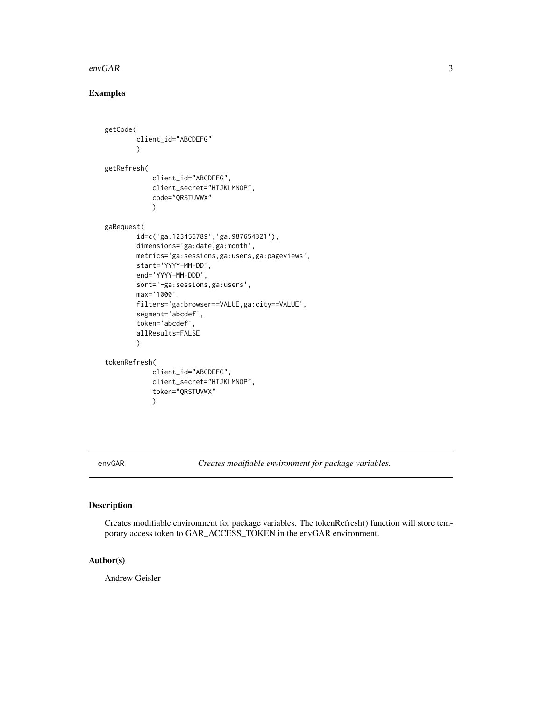#### <span id="page-2-0"></span> $envGAR$  3

#### Examples

```
getCode(
        client_id="ABCDEFG"
        )
getRefresh(
            client_id="ABCDEFG",
            client_secret="HIJKLMNOP",
            code="QRSTUVWX"
            \lambdagaRequest(
        id=c('ga:123456789','ga:987654321'),
        dimensions='ga:date,ga:month',
        metrics='ga:sessions,ga:users,ga:pageviews',
        start='YYYY-MM-DD',
        end='YYYY-MM-DDD',
        sort='-ga:sessions,ga:users',
        max='1000',
        filters='ga:browser==VALUE,ga:city==VALUE',
        segment='abcdef',
        token='abcdef',
        allResults=FALSE
        \lambdatokenRefresh(
            client_id="ABCDEFG",
            client_secret="HIJKLMNOP",
            token="QRSTUVWX"
```
)

envGAR *Creates modifiable environment for package variables.*

#### Description

Creates modifiable environment for package variables. The tokenRefresh() function will store temporary access token to GAR\_ACCESS\_TOKEN in the envGAR environment.

#### Author(s)

Andrew Geisler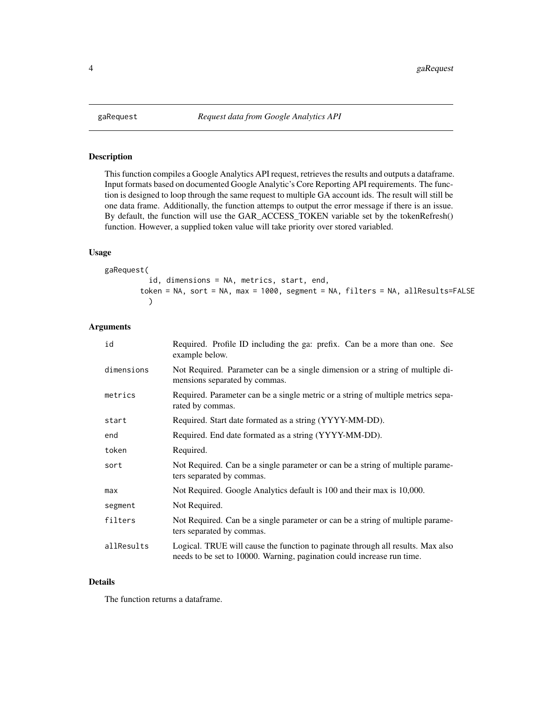<span id="page-3-1"></span><span id="page-3-0"></span>

#### Description

This function compiles a Google Analytics API request, retrieves the results and outputs a dataframe. Input formats based on documented Google Analytic's Core Reporting API requirements. The function is designed to loop through the same request to multiple GA account ids. The result will still be one data frame. Additionally, the function attemps to output the error message if there is an issue. By default, the function will use the GAR\_ACCESS\_TOKEN variable set by the tokenRefresh() function. However, a supplied token value will take priority over stored variabled.

#### Usage

```
gaRequest(
          id, dimensions = NA, metrics, start, end,
        token = NA, sort = NA, max = 1000, segment = NA, filters = NA, allResults=FALSE
          )
```
#### Arguments

| id         | Required. Profile ID including the ga: prefix. Can be a more than one. See<br>example below.                                                              |
|------------|-----------------------------------------------------------------------------------------------------------------------------------------------------------|
| dimensions | Not Required. Parameter can be a single dimension or a string of multiple di-<br>mensions separated by commas.                                            |
| metrics    | Required. Parameter can be a single metric or a string of multiple metrics sepa-<br>rated by commas.                                                      |
| start      | Required. Start date formated as a string (YYYY-MM-DD).                                                                                                   |
| end        | Required. End date formated as a string (YYYY-MM-DD).                                                                                                     |
| token      | Required.                                                                                                                                                 |
| sort       | Not Required. Can be a single parameter or can be a string of multiple parame-<br>ters separated by commas.                                               |
| max        | Not Required. Google Analytics default is 100 and their max is 10,000.                                                                                    |
| segment    | Not Required.                                                                                                                                             |
| filters    | Not Required. Can be a single parameter or can be a string of multiple parame-<br>ters separated by commas.                                               |
| allResults | Logical. TRUE will cause the function to paginate through all results. Max also<br>needs to be set to 10000. Warning, pagination could increase run time. |

#### Details

The function returns a dataframe.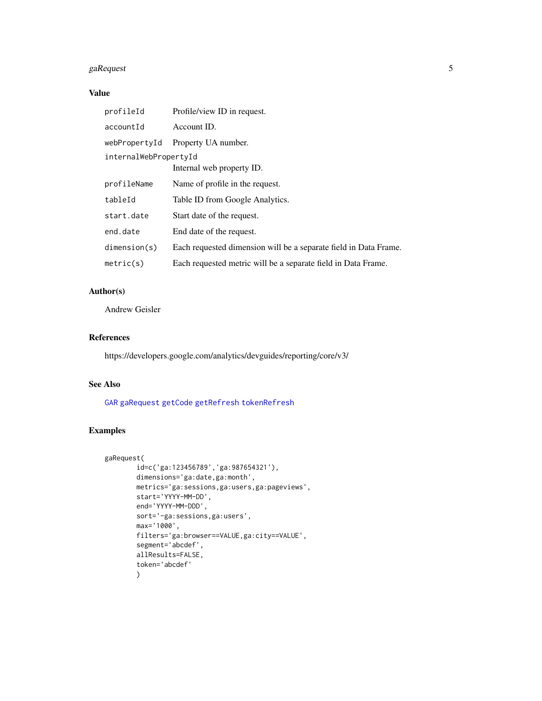#### <span id="page-4-0"></span>gaRequest 5

#### Value

| profileId             | Profile/view ID in request.                                      |  |  |
|-----------------------|------------------------------------------------------------------|--|--|
| accountId             | Account ID.                                                      |  |  |
| webPropertyId         | Property UA number.                                              |  |  |
| internalWebPropertyId |                                                                  |  |  |
|                       | Internal web property ID.                                        |  |  |
| profileName           | Name of profile in the request.                                  |  |  |
| tableId               | Table ID from Google Analytics.                                  |  |  |
| start.date            | Start date of the request.                                       |  |  |
| end.date              | End date of the request.                                         |  |  |
| dimension(s)          | Each requested dimension will be a separate field in Data Frame. |  |  |
| metric(s)             | Each requested metric will be a separate field in Data Frame.    |  |  |

#### Author(s)

Andrew Geisler

#### References

https://developers.google.com/analytics/devguides/reporting/core/v3/

#### See Also

[GAR](#page-1-1) [gaRequest](#page-3-1) [getCode](#page-5-1) [getRefresh](#page-6-1) [tokenRefresh](#page-7-1)

#### Examples

```
gaRequest(
        id=c('ga:123456789','ga:987654321'),
        dimensions='ga:date,ga:month',
        metrics='ga:sessions,ga:users,ga:pageviews',
        start='YYYY-MM-DD',
        end='YYYY-MM-DDD',
        sort='-ga:sessions,ga:users',
        max='1000',
        filters='ga:browser==VALUE,ga:city==VALUE',
        segment='abcdef',
        allResults=FALSE,
        token='abcdef'
        \mathcal{L}
```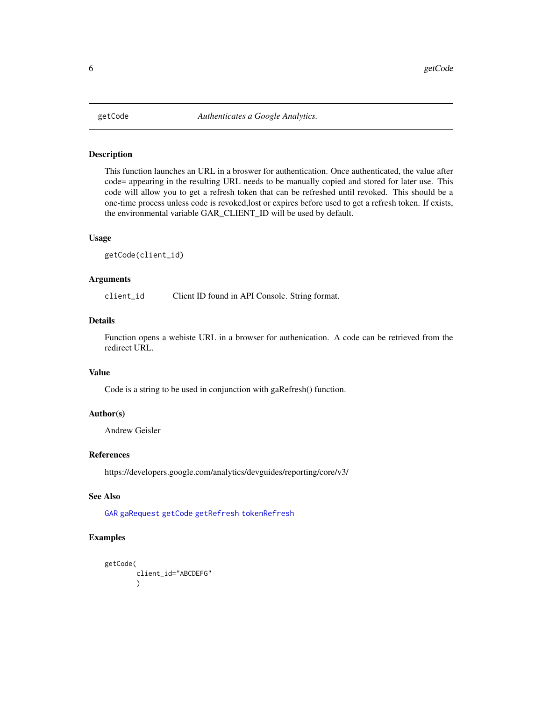<span id="page-5-1"></span><span id="page-5-0"></span>

#### Description

This function launches an URL in a broswer for authentication. Once authenticated, the value after code= appearing in the resulting URL needs to be manually copied and stored for later use. This code will allow you to get a refresh token that can be refreshed until revoked. This should be a one-time process unless code is revoked,lost or expires before used to get a refresh token. If exists, the environmental variable GAR\_CLIENT\_ID will be used by default.

#### Usage

getCode(client\_id)

#### Arguments

client\_id Client ID found in API Console. String format.

#### Details

Function opens a webiste URL in a browser for authenication. A code can be retrieved from the redirect URL.

#### Value

Code is a string to be used in conjunction with gaRefresh() function.

#### Author(s)

Andrew Geisler

#### References

https://developers.google.com/analytics/devguides/reporting/core/v3/

#### See Also

[GAR](#page-1-1) [gaRequest](#page-3-1) [getCode](#page-5-1) [getRefresh](#page-6-1) [tokenRefresh](#page-7-1)

#### Examples

```
getCode(
         client_id="ABCDEFG"
         \lambda
```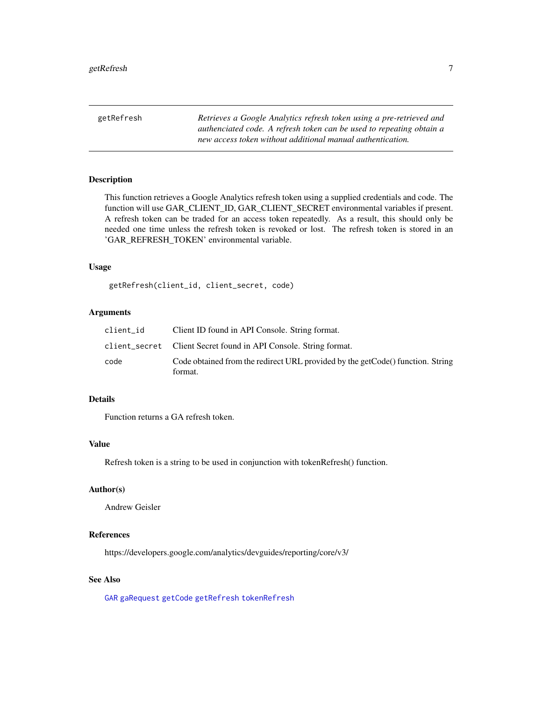<span id="page-6-1"></span><span id="page-6-0"></span>getRefresh *Retrieves a Google Analytics refresh token using a pre-retrieved and authenciated code. A refresh token can be used to repeating obtain a new access token without additional manual authentication.*

#### Description

This function retrieves a Google Analytics refresh token using a supplied credentials and code. The function will use GAR\_CLIENT\_ID, GAR\_CLIENT\_SECRET environmental variables if present. A refresh token can be traded for an access token repeatedly. As a result, this should only be needed one time unless the refresh token is revoked or lost. The refresh token is stored in an 'GAR\_REFRESH\_TOKEN' environmental variable.

#### Usage

getRefresh(client\_id, client\_secret, code)

#### Arguments

| client id | Client ID found in API Console. String format.                                            |
|-----------|-------------------------------------------------------------------------------------------|
|           | client_secret Client Secret found in API Console. String format.                          |
| code      | Code obtained from the redirect URL provided by the getCode() function. String<br>format. |

#### Details

Function returns a GA refresh token.

#### Value

Refresh token is a string to be used in conjunction with tokenRefresh() function.

#### Author(s)

Andrew Geisler

#### References

https://developers.google.com/analytics/devguides/reporting/core/v3/

#### See Also

[GAR](#page-1-1) [gaRequest](#page-3-1) [getCode](#page-5-1) [getRefresh](#page-6-1) [tokenRefresh](#page-7-1)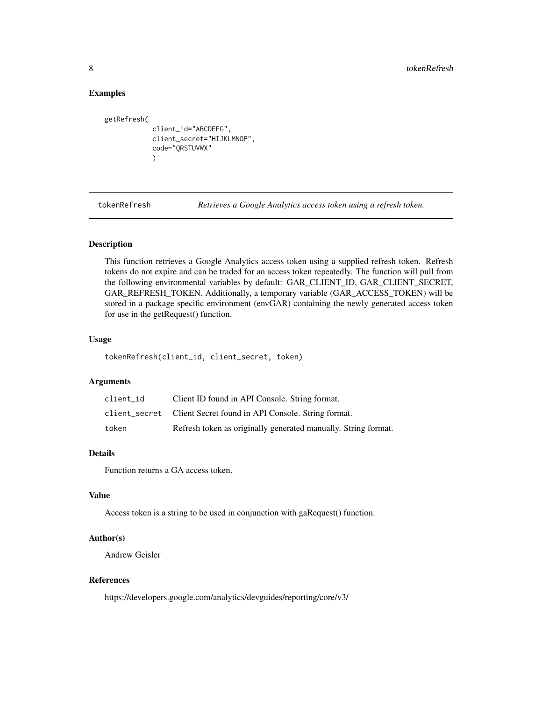#### Examples

```
getRefresh(
            client_id="ABCDEFG",
            client_secret="HIJKLMNOP",
            code="QRSTUVWX"
            )
```
<span id="page-7-1"></span>tokenRefresh *Retrieves a Google Analytics access token using a refresh token.*

#### Description

This function retrieves a Google Analytics access token using a supplied refresh token. Refresh tokens do not expire and can be traded for an access token repeatedly. The function will pull from the following environmental variables by default: GAR\_CLIENT\_ID, GAR\_CLIENT\_SECRET, GAR\_REFRESH\_TOKEN. Additionally, a temporary variable (GAR\_ACCESS\_TOKEN) will be stored in a package specific environment (envGAR) containing the newly generated access token for use in the getRequest() function.

#### Usage

tokenRefresh(client\_id, client\_secret, token)

#### Arguments

| client id | Client ID found in API Console. String format.                   |
|-----------|------------------------------------------------------------------|
|           | client_secret Client Secret found in API Console. String format. |
| token     | Refresh token as originally generated manually. String format.   |

#### Details

Function returns a GA access token.

#### Value

Access token is a string to be used in conjunction with gaRequest() function.

#### Author(s)

Andrew Geisler

#### References

https://developers.google.com/analytics/devguides/reporting/core/v3/

<span id="page-7-0"></span>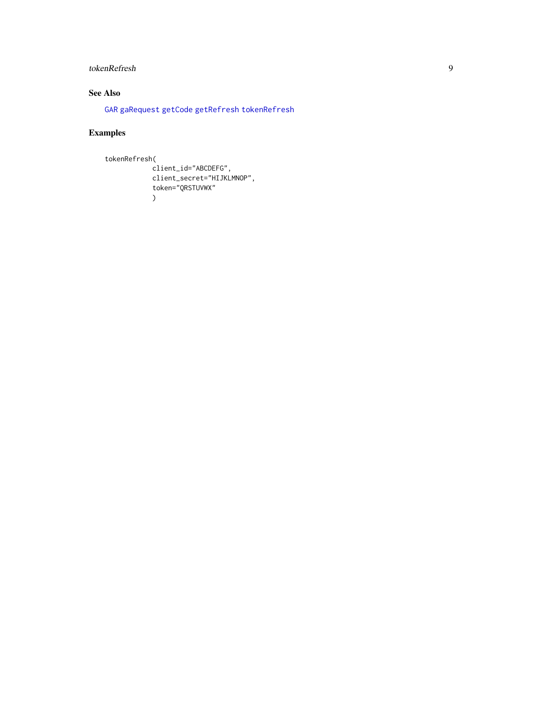#### <span id="page-8-0"></span>tokenRefresh 9

#### See Also

[GAR](#page-1-1) [gaRequest](#page-3-1) [getCode](#page-5-1) [getRefresh](#page-6-1) [tokenRefresh](#page-7-1)

### Examples

```
tokenRefresh(
```

```
client_id="ABCDEFG",
client_secret="HIJKLMNOP",
token="QRSTUVWX"
\overline{)}
```